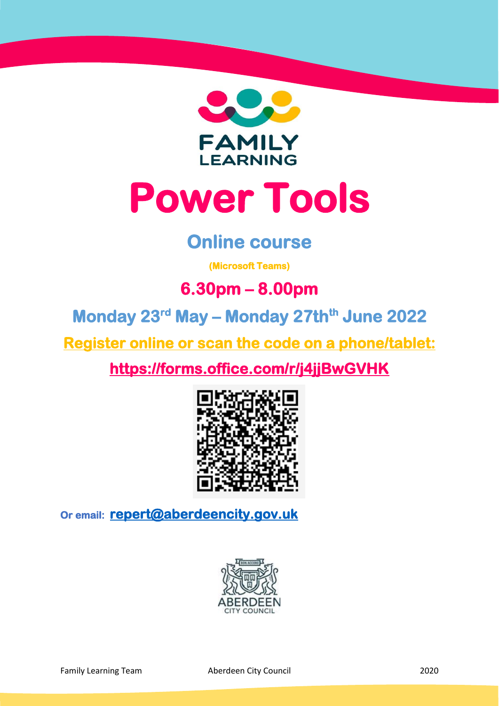

# **Power Tools**

## **Online course**

**(Microsoft Teams)** 

## **6.30pm – 8.00pm**

**Monday 23 rd May – Monday 27thth June 2022** 

**Register online or scan the code on a phone/tablet:** 

**<https://forms.office.com/r/j4jjBwGVHK>**



**Or email: [repert@aberdeencity.gov.uk](mailto:repert@aberdeencity.gov.uk)** 

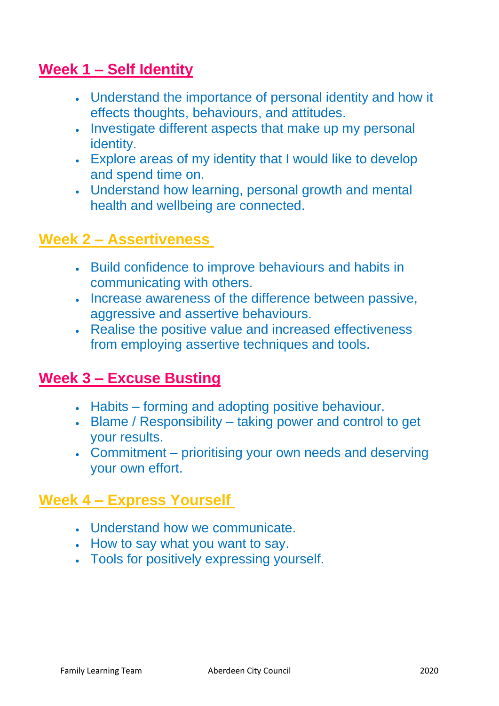### **Week 1 – Self Identity**

- Understand the importance of personal identity and how it effects thoughts, behaviours, and attitudes.
- Investigate different aspects that make up my personal identity.
- Explore areas of my identity that I would like to develop and spend time on.
- Understand how learning, personal growth and mental health and wellbeing are connected.

#### **Week 2 – Assertiveness**

- Build confidence to improve behaviours and habits in communicating with others.
- Increase awareness of the difference between passive, aggressive and assertive behaviours.
- Realise the positive value and increased effectiveness from employing assertive techniques and tools.

#### **Week 3 – Excuse Busting**

- Habits forming and adopting positive behaviour.
- Blame / Responsibility taking power and control to get your results.
- Commitment prioritising your own needs and deserving your own effort.

#### **Week 4 – Express Yourself**

- Understand how we communicate.
- How to say what you want to say.
- Tools for positively expressing yourself.